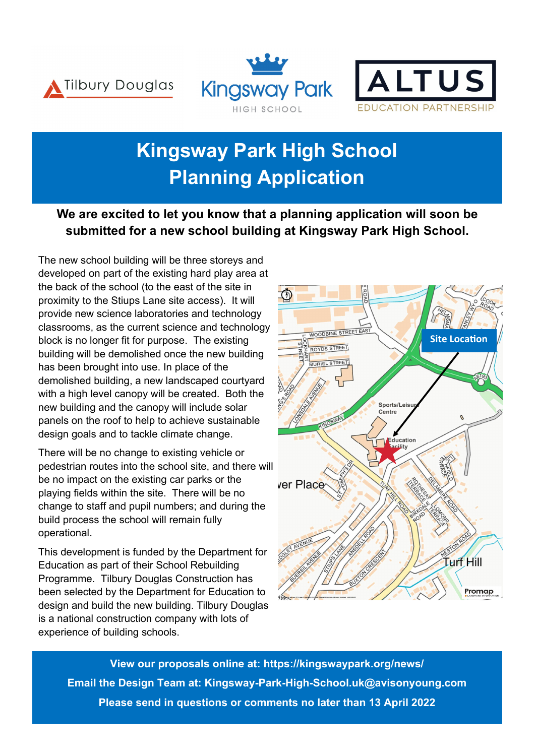





## **Kingsway Park High School Planning Application**

## **We are excited to let you know that a planning application will soon be submitted for a new school building at Kingsway Park High School.**

The new school building will be three storeys and developed on part of the existing hard play area at the back of the school (to the east of the site in proximity to the Stiups Lane site access). It will provide new science laboratories and technology classrooms, as the current science and technology block is no longer fit for purpose. The existing building will be demolished once the new building has been brought into use. In place of the demolished building, a new landscaped courtyard with a high level canopy will be created. Both the new building and the canopy will include solar panels on the roof to help to achieve sustainable design goals and to tackle climate change.

There will be no change to existing vehicle or pedestrian routes into the school site, and there will be no impact on the existing car parks or the playing fields within the site. There will be no change to staff and pupil numbers; and during the build process the school will remain fully operational.

This development is funded by the Department for Education as part of their School Rebuilding Programme. Tilbury Douglas Construction has been selected by the Department for Education to design and build the new building. Tilbury Douglas is a national construction company with lots of experience of building schools.



**View our proposals online at: https://kingswaypark.org/news/ Email the Design Team at: Kingsway-Park-High-School.uk@avisonyoung.com Please send in questions or comments no later than 13 April 2022**